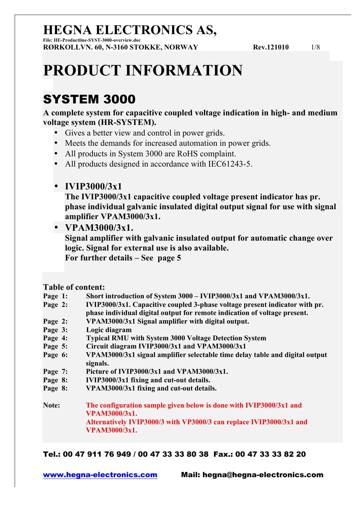**File: HE-Productline-SYST-3000-overview.doc RØRKOLLVN. 60, N-3160 STOKKE, NORWAY Rev.121010** 1/8

# **PRODUCT INFORMATION**

### SYSTEM 3000

**A complete system for capacitive coupled voltage indication in high- and medium voltage system (HR-SYSTEM).**

- Gives a better view and control in power grids.
- Meets the demands for increased automation in power grids.
- All products in System 3000 are RoHS complaint.
- All products designed in accordance with IEC61243-5.
- **IVIP3000/3x1**

**The IVIP3000/3x1 capacitive coupled voltage present indicator has pr. phase individual galvanic insulated digital output signal for use with signal amplifier VPAM3000/3x1.** 

• **VPAM3000/3x1.**

**Signal amplifier with galvanic insulated output for automatic change over logic. Signal for external use is also available. For further details – See page 5**

### **Table of content:**

- **Page 1: Short introduction of System 3000 – IVIP3000/3x1 and VPAM3000/3x1.**
- **Page 2: IVIP3000/3x1. Capacitive coupled 3-phase voltage present indicator with pr. phase individual digital output for remote indication of voltage present.**
- **Page 2: VPAM3000/3x1 Signal amplifier with digital output.**
- **Page 3: Logic diagram**
- **Page 4: Typical RMU with System 3000 Voltage Detection System**
- **Page 5: Circuit diagram IVIP3000/3x1 and VPAM3000/3x1**
- **Page 6: VPAM3000/3x1 signal amplifier selectable time delay table and digital output signals.**
- **Page 7: Picture of IVIP3000/3x1 and VPAM3000/3x1.**
- **Page 8: IVIP3000/3x1 fixing and cut-out details.**
- **Page 8: VPAM3000/3x1 fixing and cut-out details.**

**Note: The configuration sample given below is done with IVIP3000/3x1 and VPAM3000/3x1. Alternatively IVIP3000/3 with VP3000/3 can replace IVIP3000/3x1 and VPAM3000/3x1.**

Tel.: 00 47 911 76 949 / 00 47 33 33 80 38 Fax.: 00 47 33 33 82 20

www.hegna-electronics.com Mail: hegna@hegna-electronics.com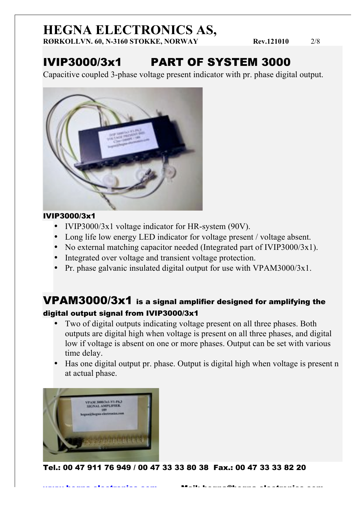**RØRKOLLVN. 60, N-3160 STOKKE, NORWAY Rev.121010** 2/8

## IVIP3000/3x1 PART OF SYSTEM 3000

Capacitive coupled 3-phase voltage present indicator with pr. phase digital output.



### IVIP3000/3x1

- IVIP3000/3x1 voltage indicator for HR-system (90V).
- Long life low energy LED indicator for voltage present / voltage absent.
- No external matching capacitor needed (Integrated part of IVIP3000/3x1).
- Integrated over voltage and transient voltage protection.
- Pr. phase galvanic insulated digital output for use with VPAM3000/3x1.

### VPAM3000/3x1 is a signal amplifier designed for amplifying the digital output signal from IVIP3000/3x1

- Two of digital outputs indicating voltage present on all three phases. Both outputs are digital high when voltage is present on all three phases, and digital low if voltage is absent on one or more phases. Output can be set with various time delay.
- Has one digital output pr. phase. Output is digital high when voltage is present n at actual phase.

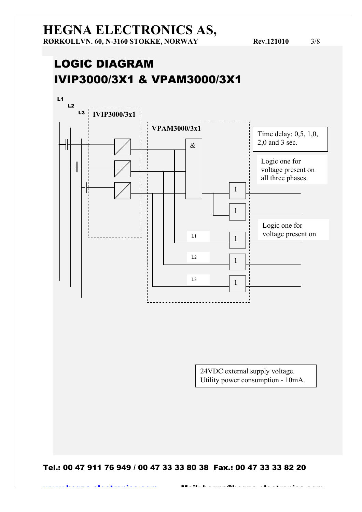### LOGIC DIAGRAM IVIP3000/3X1 & VPAM3000/3X1



24VDC external supply voltage. Utility power consumption - 10mA.

Tel.: 00 47 911 76 949 / 00 47 33 33 80 38 Fax.: 00 47 33 33 82 20

www.hegna-electronics.com Mail: hegna@hegna-electronics.com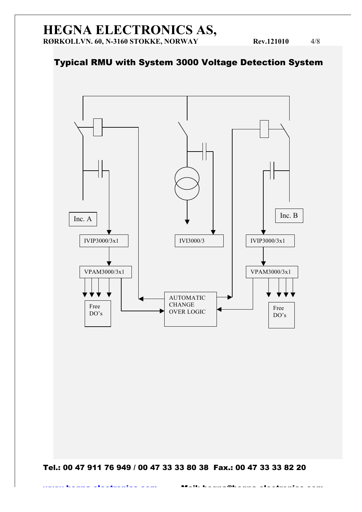### Typical RMU with System 3000 Voltage Detection System

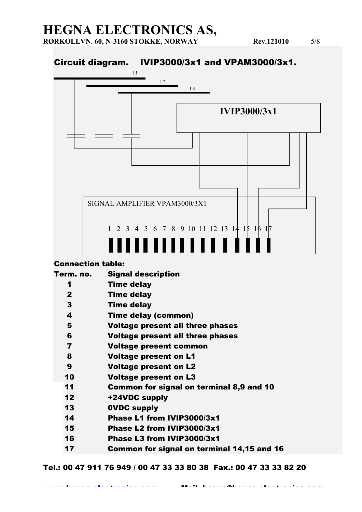**RØRKOLLVN. 60, N-3160 STOKKE, NORWAY Rev.121010** 5/8

### Circuit diagram. IVIP3000/3x1 and VPAM3000/3x1.



#### Connection table:

| Term. no.               | <b>Signal description</b>                  |
|-------------------------|--------------------------------------------|
| 1                       | <b>Time delay</b>                          |
| $\mathbf{2}$            | Time delay                                 |
| 3                       | <b>Time delay</b>                          |
| 4                       | <b>Time delay (common)</b>                 |
| 5                       | <b>Voltage present all three phases</b>    |
| 6                       | <b>Voltage present all three phases</b>    |
| $\overline{\mathbf{r}}$ | Voltage present common                     |
| 8                       | <b>Voltage present on L1</b>               |
| 9                       | <b>Voltage present on L2</b>               |
| 10                      | <b>Voltage present on L3</b>               |
| 11                      | Common for signal on terminal 8,9 and 10   |
| 12                      | +24VDC supply                              |
| 13                      | <b>OVDC supply</b>                         |
| 14                      | Phase L1 from IVIP3000/3x1                 |
| 15                      | Phase L2 from IVIP3000/3x1                 |
| 16                      | Phase L3 from IVIP3000/3x1                 |
| 17                      | Common for signal on terminal 14,15 and 16 |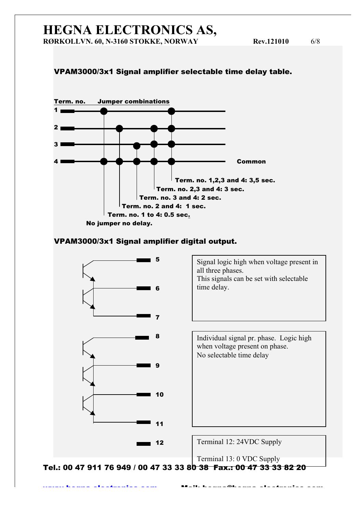#### VPAM3000/3x1 Signal amplifier selectable time delay table.



#### VPAM3000/3x1 Signal amplifier digital output.

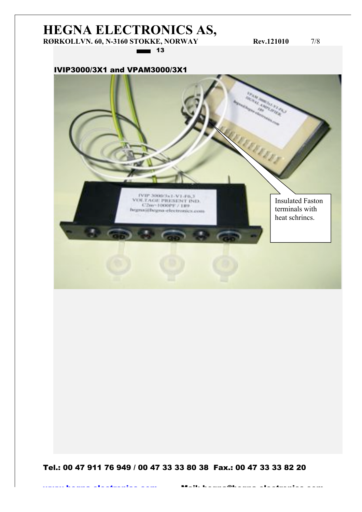### **HEGNA ELECTRONICS AS, RØRKOLLVN. 60, N-3160 STOKKE, NORWAY Rev.121010** 7/8

 $\equiv$  13